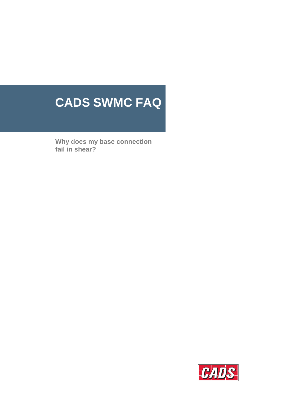# **CADS SWMC FAQ**

**Why does my base connection fail in shear?** 

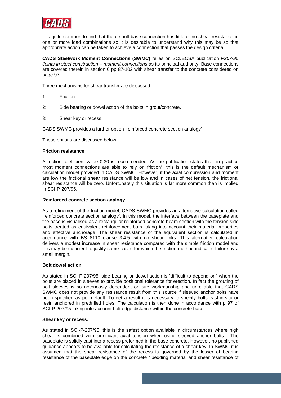

It is quite common to find that the default base connection has little or no shear resistance in one or more load combinations so it is desirable to understand why this may be so that appropriate action can be taken to achieve a connection that passes the design criteria.

**CADS Steelwork Moment Connections (SWMC)** relies on SCI/BCSA publication *P207/95 Joints in steel construction – moment connections* as its principal authority. Base connections are covered therein in section 6 pp 87-102 with shear transfer to the concrete considered on page 97.

Three mechanisms for shear transfer are discussed:-

- 1: Friction.
- 2: Side bearing or dowel action of the bolts in grout/concrete.
- 3: Shear key or recess.

CADS SWMC provides a further option 'reinforced concrete section analogy'

These options are discussed below.

#### **Friction resistance**

A friction coefficient value 0.30 is recommended. As the publication states that "in practice most moment connections are able to rely on friction", this is the default mechanism or calculation model provided in CADS SWMC. However, if the axial compression and moment are low the frictional shear resistance will be low and in cases of net tension, the frictional shear resistance will be zero. Unfortunately this situation is far more common than is implied in SCI-P-207/95.

#### **Reinforced concrete section analogy**

As a refinement of the friction model, CADS SWMC provides an alternative calculation called 'reinforced concrete section analogy'. In this model, the interface between the baseplate and the base is visualised as a rectangular reinforced concrete beam section with the tension side bolts treated as equivalent reinforcement bars taking into account their material properties and effective anchorage. The shear resistance of the equivalent section is calculated in accordance with BS 8110 clause 3.4.5 with no shear links. This alternative calculation delivers a modest increase in shear resistance compared with the simple friction model and this may be sufficient to justify some cases for which the friction method indicates failure by a small margin.

## **Bolt dowel action**

As stated in SCI-P-207/95, side bearing or dowel action is "difficult to depend on" when the bolts are placed in sleeves to provide positional tolerance for erection. In fact the grouting of bolt sleeves is so notoriously dependent on site workmanship and unreliable that CADS SWMC does not provide any resistance result from this source if sleeved anchor bolts have been specified as per default. To get a result it is necessary to specify bolts cast-in-situ or resin anchored in predrilled holes. The calculation is then done in accordance with p 97 of SCI-P-207/95 taking into account bolt edge distance within the concrete base.

#### **Shear key or recess.**

As stated in SCI-P-207/95, this is the safest option available in circumstances where high shear is combined with significant axial tension when using sleeved anchor bolts. The baseplate is solidly cast into a recess preformed in the base concrete. However, no published guidance appears to be available for calculating the resistance of a shear key. In SWMC it is assumed that the shear resistance of the recess is governed by the lesser of bearing resistance of the baseplate edge on the concrete / bedding material and shear resistance of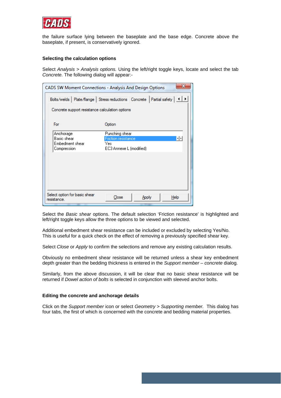

the failure surface lying between the baseplate and the base edge. Concrete above the baseplate, if present, is conservatively ignored.

## **Selecting the calculation options**

Select *Analysis > Analysis options.* Using the left/right toggle keys, locate and select the tab *Concrete.* The following dialog will appear:-

| CADS SW Moment Connections - Analysis And Design Options                           |                                                 |       |  |      |  |  |
|------------------------------------------------------------------------------------|-------------------------------------------------|-------|--|------|--|--|
| Bolts/welds   Plate/flange   Stress reductions   Concrete   Partial safety   1   1 |                                                 |       |  |      |  |  |
|                                                                                    | Concrete support resistance calculation options |       |  |      |  |  |
| For                                                                                | Option                                          |       |  |      |  |  |
| Anchorage                                                                          | Punching shear                                  |       |  |      |  |  |
| Basic shear                                                                        | <b>Friction resistance</b>                      |       |  | ŦF   |  |  |
| Embedment shear                                                                    | Yes                                             |       |  |      |  |  |
| Compression                                                                        | EC3 Annexe L (modified)                         |       |  |      |  |  |
|                                                                                    |                                                 |       |  |      |  |  |
|                                                                                    |                                                 |       |  |      |  |  |
|                                                                                    |                                                 |       |  |      |  |  |
|                                                                                    |                                                 |       |  |      |  |  |
|                                                                                    |                                                 |       |  |      |  |  |
| Select option for basic shear<br>resistance.                                       | Close                                           | Apply |  | Help |  |  |

Select the *Basic shear* options. The default selection 'Friction resistance' is highlighted and left/right toggle keys allow the three options to be viewed and selected.

Additional embedment shear resistance can be included or excluded by selecting Yes/No. This is useful for a quick check on the effect of removing a previously specified shear key.

Select *Close* or *Apply* to confirm the selections and remove any existing calculation results.

Obviously no embedment shear resistance will be returned unless a shear key embedment depth greater than the bedding thickness is entered in the *Support member – concrete* dialog.

Similarly, from the above discussion, it will be clear that no basic shear resistance will be returned if *Dowel action of bolts* is selected in conjunction with sleeved anchor bolts.

## **Editing the concrete and anchorage details**

Click on the *Support member* icon or select *Geometry > Supporting member.* This dialog has four tabs, the first of which is concerned with the concrete and bedding material properties.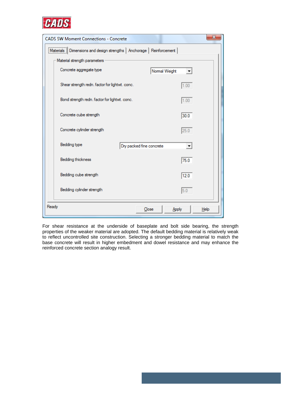

| <b>CADS SW Moment Connections - Concrete</b>                               | X                                  |  |  |  |
|----------------------------------------------------------------------------|------------------------------------|--|--|--|
| Dimensions and design strengths   Anchorage   Reinforcement  <br>Materials |                                    |  |  |  |
| Material strength parameters                                               |                                    |  |  |  |
| Concrete aggregate type<br>Normal Weight                                   |                                    |  |  |  |
| Shear strength redn. factor for lightwt. conc.                             | 1.00                               |  |  |  |
| Bond strength redn. factor for lightwt. conc.                              | 1.00                               |  |  |  |
| Concrete cube strength                                                     | 30.0                               |  |  |  |
| Concrete cylinder strength                                                 | 25.0                               |  |  |  |
| Bedding type<br>Dry packed fine concrete                                   | $\blacktriangledown$               |  |  |  |
| Bedding thickness                                                          | 75.0                               |  |  |  |
| Bedding cube strength                                                      | 12.0                               |  |  |  |
| Bedding cylinder strength                                                  | 5.0                                |  |  |  |
| Ready<br>Close                                                             | <b>Apply</b><br>$He$ <sub>lp</sub> |  |  |  |

For shear resistance at the underside of baseplate and bolt side bearing, the strength properties of the weaker material are adopted. The default bedding material is relatively weak to reflect uncontrolled site construction. Selecting a stronger bedding material to match the base concrete will result in higher embedment and dowel resistance and may enhance the reinforced concrete section analogy result.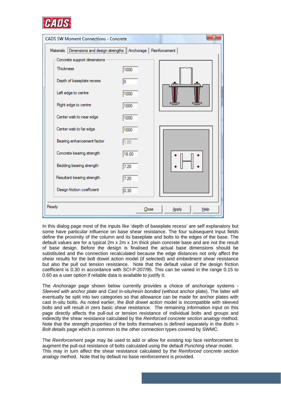

| <b>CADS SW Moment Connections - Concrete</b>                           |       | X                  |  |  |  |  |
|------------------------------------------------------------------------|-------|--------------------|--|--|--|--|
| Materials [Dimensions and design strengths ] Anchorage   Reinforcement |       |                    |  |  |  |  |
| Concrete support dimensions                                            |       |                    |  |  |  |  |
| <b>Thickness</b>                                                       | 1000  |                    |  |  |  |  |
| Depth of baseplate recess                                              | 0     |                    |  |  |  |  |
| Left edge to centre                                                    | 1000  |                    |  |  |  |  |
| Right edge to centre                                                   | 1000  |                    |  |  |  |  |
| Center web to near edge                                                | 1000  |                    |  |  |  |  |
| Center web to far edge                                                 | 1000  |                    |  |  |  |  |
| Bearing enhancement factor                                             | 1.00  |                    |  |  |  |  |
| Concrete bearing strength                                              | 18.00 |                    |  |  |  |  |
| Bedding bearing strength                                               | 7.20  |                    |  |  |  |  |
| Resultant bearing strength                                             | 7.20  |                    |  |  |  |  |
| Design friction coefficient                                            | 0.30  |                    |  |  |  |  |
| Ready                                                                  | Close | He<br><b>Apply</b> |  |  |  |  |

In this dialog page most of the inputs like 'depth of baseplate recess' are self explanatory but some have particular influence on base shear resistance. The four subsequent input fields define the proximity of the column and its baseplate and bolts to the edges of the base. The default values are for a typical 2m x 2m x 1m thick plain concrete base and are not the result of base design. Before the design is finalised the actual base dimensions should be substituted and the connection recalculated because the edge distances not only affect the shear results for the bolt dowel action model (if selected) and embedment shear resistance but also the pull out tension resistance. Note that the default value of the design friction coefficient is 0.30 in accordance with SCI-P-207/95. This can be varied in the range 0.15 to 0.60 as a user option if reliable data is available to justify it.

The *Anchorage* page shown below currently provides a choice of anchorage systems - *Sleeved with anchor plate* and *Cast in-situ/resin bonded* (without anchor plate). The latter will eventually be split into two categories so that allowance can be made for anchor plates with cast in-situ bolts. As noted earlier, the *Bolt dowel action* model is incompatible with sleeved bolts and will result in zero basic shear resistance. The remaining information input on this page directly affects the pull-out or tension resistance of individual bolts and groups and indirectly the shear resistance calculated by the *Reinforced concrete section analogy* method. Note that the strength properties of the bolts themselves is defined separately in the *Bolts > Bolt details* page which is common to the other connection types covered by SWMC.

The *Reinforcement* page may be used to add or allow for existing top face reinforcement to augment the pull-out resistance of bolts calculated using the default *Punching shear* model. This may in turn affect the shear resistance calculated by the *Reinforced concrete section analogy* method. Note that by default no base reinforcement is provided.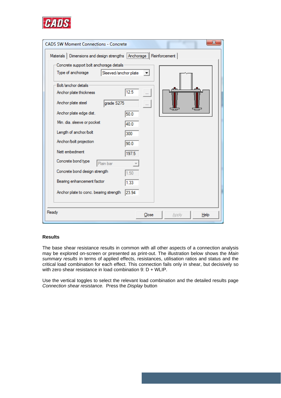

| <b>CADS SW Moment Connections - Concrete</b>            |       | x             |
|---------------------------------------------------------|-------|---------------|
| Materials   Dimensions and design strengths   Anchorage |       | Reinforcement |
| Concrete support bolt anchorage details -               |       |               |
| Type of anchorage<br>Sleeved/anchor plate               | ▼     |               |
| Bolt/anchor details                                     |       |               |
| Anchor plate thickness                                  | 12.5  |               |
| Anchor plate steel<br>grade S275                        |       |               |
| Anchor plate edge dist.                                 | 50.0  |               |
| Min. dia. sleeve or pocket                              | 40.0  |               |
| Length of anchor/bolt                                   | 300   |               |
| Anchor/bolt projection<br>Nett embedment                | 90.0  |               |
|                                                         | 197.5 |               |
| Concrete bond type<br>Plain bar                         |       |               |
| Concrete bond design strength                           | 1.50  |               |
| Bearing enhancement factor                              | 1.33  |               |
| Anchor plate to conc. bearing strength                  | 23.94 |               |
| Ready                                                   | Close | Apply<br>Help |

# **Results**

The base shear resistance results in common with all other aspects of a connection analysis may be explored on-screen or presented as print-out. The illustration below shows the *Main summary results* in terms of applied effects, resistances, utilisation ratios and status and the critical load combination for each effect. This connection fails only in shear, but decisively so with zero shear resistance in load combination 9: D + WLIP.

Use the vertical toggles to select the relevant load combination and the detailed results page *Connection shear resistance.* Press the *Display* button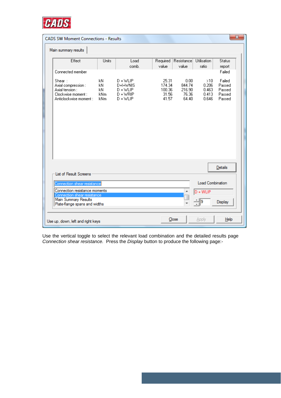

| $\overline{\mathbf{x}}$<br><b>CADS SW Moment Connections - Results</b>                           |                                 |                                                                     |                                             |                                             |                                         |                                                |  |
|--------------------------------------------------------------------------------------------------|---------------------------------|---------------------------------------------------------------------|---------------------------------------------|---------------------------------------------|-----------------------------------------|------------------------------------------------|--|
| Main summary results                                                                             |                                 |                                                                     |                                             |                                             |                                         |                                                |  |
| Effect                                                                                           | Units                           | Load<br>comb.                                                       | Required<br>value                           | Resistance<br>value                         | Utilisation<br>ratio                    | <b>Status</b><br>report                        |  |
| Connected member                                                                                 |                                 |                                                                     |                                             |                                             |                                         | Failed                                         |  |
| Shear:<br>Axial compression :<br>Axial tension :<br>Clockwise moment :<br>Anticlockwise moment : | kN.<br>kN.<br>kN<br>kNm<br>kNm. | $D + W LIP$<br>D+I+WNIS<br>$D + W LIP$<br>$D + WRIP$<br>$D + W LIP$ | 25.31<br>174.34<br>100.36<br>31.56<br>41.57 | 0.00.<br>844.74<br>216.90<br>76.36<br>64.40 | >10<br>0.206<br>0.463<br>0.413<br>0.646 | Failed<br>Passed<br>Passed<br>Passed<br>Passed |  |
| <b>List of Result Screens</b>                                                                    |                                 |                                                                     |                                             |                                             |                                         | Details                                        |  |
| Connection shear resistance                                                                      |                                 |                                                                     |                                             |                                             | <b>Load Combination</b>                 |                                                |  |
| Connection resistance moments                                                                    |                                 |                                                                     | ∸                                           | $D + WLIP$                                  |                                         |                                                |  |
| Connection shear resistance<br>Main Summary Results<br>Plate-flange spans and widths             |                                 |                                                                     |                                             |                                             | $\frac{1}{2}$  9                        | Display                                        |  |
| Use up, down, left and right keys                                                                |                                 |                                                                     |                                             | Close                                       | <b>Apply</b>                            | Help                                           |  |

Use the vertical toggle to select the relevant load combination and the detailed results page *Connection shear resistance.* Press the *Display* button to produce the following page:-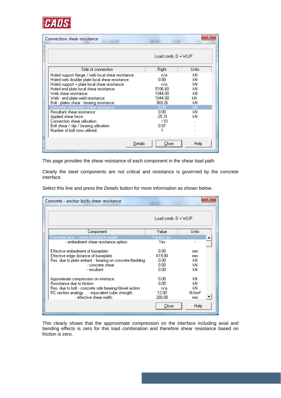

| Connection shear resistance                                                                                                                                                                                                                                                                                                                                                                                                                                                                                              |                                                                                                            |                                                          |
|--------------------------------------------------------------------------------------------------------------------------------------------------------------------------------------------------------------------------------------------------------------------------------------------------------------------------------------------------------------------------------------------------------------------------------------------------------------------------------------------------------------------------|------------------------------------------------------------------------------------------------------------|----------------------------------------------------------|
|                                                                                                                                                                                                                                                                                                                                                                                                                                                                                                                          | $Load comb. D + WLIP$                                                                                      |                                                          |
| Side of connection                                                                                                                                                                                                                                                                                                                                                                                                                                                                                                       | Right                                                                                                      | Units                                                    |
| Holed support flange / web local shear resistance:<br>Holed web doubler plate local shear resistance:<br>Holed support + plate local shear resistance:<br>Holed end plate local shear resistance:<br>Web shear resistance:<br>Web - end plate weld resistance:<br>Bolt - plates shear - bearing resistance:<br>Concrete connection shear resistance:<br>Resultant shear resistance:<br>Applied shear force:<br>Connection shear utilisation<br>Bolt shear / slip / bearing utilisation:<br>Number of bolt rows utilised: | n/a<br>0.00.<br>n/a.<br>5106.60<br>1044.00<br>1044.00<br>369.26<br>0.00<br>0.00<br>$-25.31$<br>>10<br>0.07 | kN<br>kN<br>kN<br>kN<br>kN<br>kN<br>kΝ<br>kN<br>kN<br>kN |
| Details                                                                                                                                                                                                                                                                                                                                                                                                                                                                                                                  | Close                                                                                                      | Help                                                     |

This page provides the shear resistance of each component in the shear load path.

Clearly the steel components are not critical and resistance is governed by the concrete interface.

Select this line and press the *Details* button for more information as shown below.

| Concrete - anchor bolts shear resistance                                   |                 |                         |  |
|----------------------------------------------------------------------------|-----------------|-------------------------|--|
| Load comb, $D + WLP$                                                       |                 |                         |  |
| Component                                                                  | Value           | Units                   |  |
| Concrete face - shear resistance model:                                    | Friction res.   |                         |  |
| - embedment shear resistance option:                                       | Yes             |                         |  |
| Effective embedment of baseplate:                                          | 0.00            | mm                      |  |
| Effective edge distance of baseplate:                                      | 619.00          | mm                      |  |
| Res. due to plate embed. - bearing on concrete/bedding:                    | 0.00            | kN.                     |  |
| - concrete shear:                                                          | 0.00            | kΝ                      |  |
| - resultant: I                                                             | 0.00            | kN                      |  |
| Approximate compression on interface:                                      | 0.00            | kN.                     |  |
| Resistance due to friction:                                                | 0.00            | kN                      |  |
| Res, due to bolt - concrete side bearing/dowel action:                     | n/a.            | kN                      |  |
| RC section analogy - equivalent cube strength:<br>- effective shear width: | 12.00<br>260.00 | N/mm <sup>2</sup><br>mm |  |
|                                                                            | Close           | Help                    |  |

This clearly shows that the approximate compression on the interface including axial and bending effects is zero for this load combination and therefore shear resistance based on friction is zero.